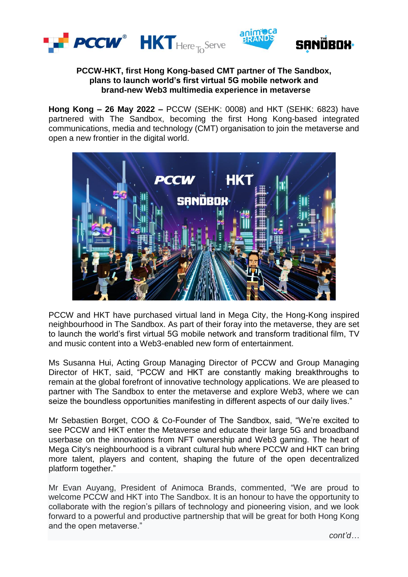



## **PCCW-HKT, first Hong Kong-based CMT partner of The Sandbox, plans to launch world's first virtual 5G mobile network and brand-new Web3 multimedia experience in metaverse**

**Hong Kong – 26 May 2022 –** PCCW (SEHK: 0008) and HKT (SEHK: 6823) have partnered with The Sandbox, becoming the first Hong Kong-based integrated communications, media and technology (CMT) organisation to join the metaverse and open a new frontier in the digital world.



PCCW and HKT have purchased virtual land in Mega City, the Hong-Kong inspired neighbourhood in The Sandbox. As part of their foray into the metaverse, they are set to launch the world's first virtual 5G mobile network and transform traditional film, TV and music content into a Web3-enabled new form of entertainment.

Ms Susanna Hui, Acting Group Managing Director of PCCW and Group Managing Director of HKT, said, "PCCW and HKT are constantly making breakthroughs to remain at the global forefront of innovative technology applications. We are pleased to partner with The Sandbox to enter the metaverse and explore Web3, where we can seize the boundless opportunities manifesting in different aspects of our daily lives."

Mr Sebastien Borget, COO & Co-Founder of The Sandbox, said, "We're excited to see PCCW and HKT enter the Metaverse and educate their large 5G and broadband userbase on the innovations from NFT ownership and Web3 gaming. The heart of Mega City's neighbourhood is a vibrant cultural hub where PCCW and HKT can bring more talent, players and content, shaping the future of the open decentralized platform together."

Mr Evan Auyang, President of Animoca Brands, commented, "We are proud to welcome PCCW and HKT into The Sandbox. It is an honour to have the opportunity to collaborate with the region's pillars of technology and pioneering vision, and we look forward to a powerful and productive partnership that will be great for both Hong Kong and the open metaverse."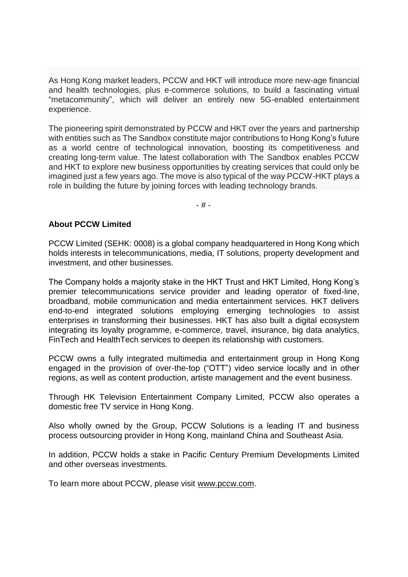As Hong Kong market leaders, PCCW and HKT will introduce more new-age financial and health technologies, plus e-commerce solutions, to build a fascinating virtual "metacommunity", which will deliver an entirely new 5G-enabled entertainment experience.

The pioneering spirit demonstrated by PCCW and HKT over the years and partnership with entities such as The Sandbox constitute major contributions to Hong Kong's future as a world centre of technological innovation, boosting its competitiveness and creating long-term value. The latest collaboration with The Sandbox enables PCCW and HKT to explore new business opportunities by creating services that could only be imagined just a few years ago. The move is also typical of the way PCCW-HKT plays a role in building the future by joining forces with leading technology brands.

- # -

## **About PCCW Limited**

PCCW Limited (SEHK: 0008) is a global company headquartered in Hong Kong which holds interests in telecommunications, media, IT solutions, property development and investment, and other businesses.

The Company holds a majority stake in the HKT Trust and HKT Limited, Hong Kong's premier telecommunications service provider and leading operator of fixed-line, broadband, mobile communication and media entertainment services. HKT delivers end-to-end integrated solutions employing emerging technologies to assist enterprises in transforming their businesses. HKT has also built a digital ecosystem integrating its loyalty programme, e-commerce, travel, insurance, big data analytics, FinTech and HealthTech services to deepen its relationship with customers.

PCCW owns a fully integrated multimedia and entertainment group in Hong Kong engaged in the provision of over-the-top ("OTT") video service locally and in other regions, as well as content production, artiste management and the event business.

Through HK Television Entertainment Company Limited, PCCW also operates a domestic free TV service in Hong Kong.

Also wholly owned by the Group, PCCW Solutions is a leading IT and business process outsourcing provider in Hong Kong, mainland China and Southeast Asia.

In addition, PCCW holds a stake in Pacific Century Premium Developments Limited and other overseas investments.

To learn more about PCCW, please visit www.pccw.com.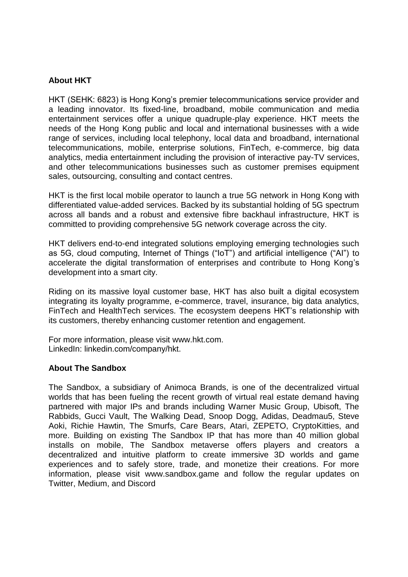# **About HKT**

HKT (SEHK: 6823) is Hong Kong's premier telecommunications service provider and a leading innovator. Its fixed-line, broadband, mobile communication and media entertainment services offer a unique quadruple-play experience. HKT meets the needs of the Hong Kong public and local and international businesses with a wide range of services, including local telephony, local data and broadband, international telecommunications, mobile, enterprise solutions, FinTech, e-commerce, big data analytics, media entertainment including the provision of interactive pay-TV services, and other telecommunications businesses such as customer premises equipment sales, outsourcing, consulting and contact centres.

HKT is the first local mobile operator to launch a true 5G network in Hong Kong with differentiated value-added services. Backed by its substantial holding of 5G spectrum across all bands and a robust and extensive fibre backhaul infrastructure, HKT is committed to providing comprehensive 5G network coverage across the city.

HKT delivers end-to-end integrated solutions employing emerging technologies such as 5G, cloud computing, Internet of Things ("IoT") and artificial intelligence ("AI") to accelerate the digital transformation of enterprises and contribute to Hong Kong's development into a smart city.

Riding on its massive loyal customer base, HKT has also built a digital ecosystem integrating its loyalty programme, e-commerce, travel, insurance, big data analytics, FinTech and HealthTech services. The ecosystem deepens HKT's relationship with its customers, thereby enhancing customer retention and engagement.

For more information, please visit www.hkt.com. LinkedIn: linkedin.com/company/hkt.

### **About The Sandbox**

The Sandbox, a subsidiary of Animoca Brands, is one of the decentralized virtual worlds that has been fueling the recent growth of virtual real estate demand having partnered with major IPs and brands including Warner Music Group, Ubisoft, The Rabbids, Gucci Vault, The Walking Dead, Snoop Dogg, Adidas, Deadmau5, Steve Aoki, Richie Hawtin, The Smurfs, Care Bears, Atari, ZEPETO, CryptoKitties, and more. Building on existing The Sandbox IP that has more than 40 million global installs on mobile, The Sandbox metaverse offers players and creators a decentralized and intuitive platform to create immersive 3D worlds and game experiences and to safely store, trade, and monetize their creations. For more information, please visit [www.sandbox.game](http://www.sandbox.game/) and follow the regular updates on [Twitter,](https://twitter.com/TheSandboxGame) [Medium,](https://medium.com/sandbox-game) and [Discord](https://discordapp.com/invite/vAe4zvY)